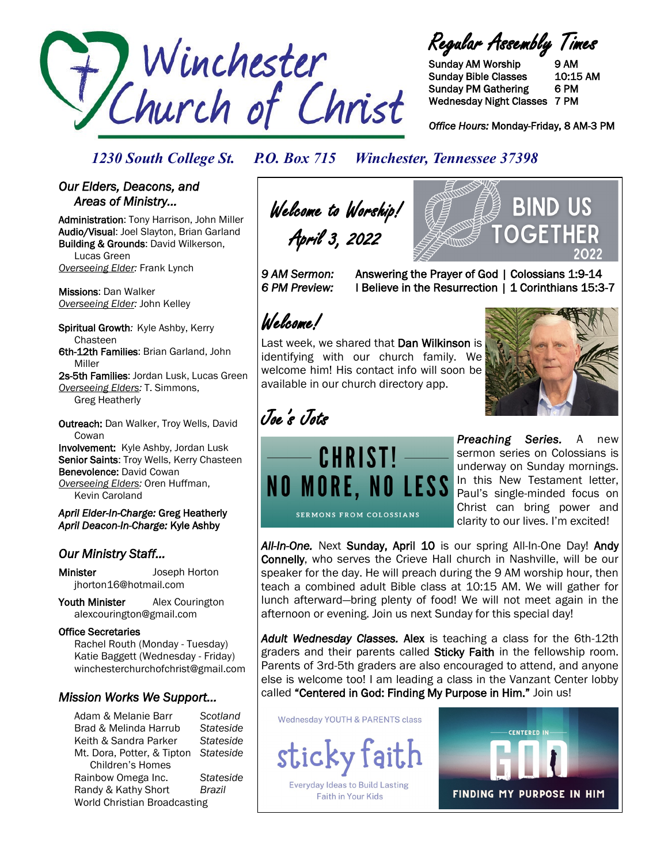

Regular Assembly Times

Sunday AM Worship 9 AM Sunday Bible Classes 10:15 AM Sunday PM Gathering 6 PM Wednesday Night Classes 7 PM

*Office Hours:* Monday-Friday, 8 AM-3 PM

## *1230 South College St. P.O. Box 715 Winchester, Tennessee 37398*

### *Our Elders, Deacons, and Areas of Ministry…*

Administration: Tony Harrison, John Miller Audio/Visual: Joel Slayton, Brian Garland Building & Grounds: David Wilkerson, Lucas Green *Overseeing Elder:* Frank Lynch

Missions: Dan Walker *Overseeing Elder:* John Kelley

Spiritual Growth*:* Kyle Ashby, Kerry Chasteen 6th-12th Families: Brian Garland, John Miller

2s-5th Families: Jordan Lusk, Lucas Green *Overseeing Elders:* T. Simmons, Greg Heatherly

Outreach: Dan Walker, Troy Wells, David **Cowan** Involvement: Kyle Ashby, Jordan Lusk Senior Saints: Troy Wells, Kerry Chasteen

Benevolence: David Cowan *Overseeing Elders:* Oren Huffman, Kevin Caroland

*April Elder-In-Charge:* Greg Heatherly *April Deacon-In-Charge:* Kyle Ashby

## *Our Ministry Staff…*

Minister Joseph Horton jhorton16@hotmail.com

Youth Minister Alex Courington alexcourington@gmail.com

### Office Secretaries

 Rachel Routh (Monday - Tuesday) Katie Baggett (Wednesday - Friday) winchesterchurchofchrist@gmail.com

## *Mission Works We Support…*

Adam & Melanie Barr *Scotland* Brad & Melinda Harrub *Stateside* Keith & Sandra Parker *Stateside* Mt. Dora, Potter, & Tipton *Stateside* Children's Homes Rainbow Omega Inc. *Stateside* Randy & Kathy Short *Brazil* World Christian Broadcasting

Welcome to Worship! April 3, 2022

*9 AM Sermon:* Answering the Prayer of God | Colossians 1:9-14 *6 PM Preview:* I Believe in the Resurrection | 1 Corinthians 15:3-7

# Welcome!

Last week, we shared that Dan Wilkinson is identifying with our church family. We welcome him! His contact info will soon be available in our church directory app.

CHRIST!

SERMONS FROM COLOSSIANS



BIND US

OGF

Joe's Jots

*Preaching Series.* A new sermon series on Colossians is underway on Sunday mornings. **NO MORE, NO LESS** In this New Testament letter, Paul's single-minded focus on Christ can bring power and clarity to our lives. I'm excited!

*All-In-One.* Next Sunday, April 10 is our spring All-In-One Day! Andy Connelly, who serves the Crieve Hall church in Nashville, will be our speaker for the day. He will preach during the 9 AM worship hour, then teach a combined adult Bible class at 10:15 AM. We will gather for lunch afterward—bring plenty of food! We will not meet again in the afternoon or evening. Join us next Sunday for this special day!

*Adult Wednesday Classes.* Alex is teaching a class for the 6th-12th graders and their parents called Sticky Faith in the fellowship room. Parents of 3rd-5th graders are also encouraged to attend, and anyone else is welcome too! I am leading a class in the Vanzant Center lobby called "Centered in God: Finding My Purpose in Him." Join us!

**Wednesday YOUTH & PARENTS class**